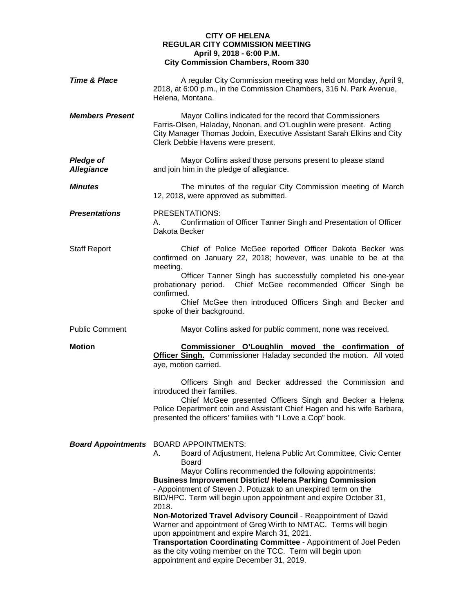## **CITY OF HELENA REGULAR CITY COMMISSION MEETING April 9, 2018 - 6:00 P.M. City Commission Chambers, Room 330**

| <b>Time &amp; Place</b>               | A regular City Commission meeting was held on Monday, April 9,<br>2018, at 6:00 p.m., in the Commission Chambers, 316 N. Park Avenue,<br>Helena, Montana.                                                                                                                                                                                                                                                                                                                                                                                                                                            |
|---------------------------------------|------------------------------------------------------------------------------------------------------------------------------------------------------------------------------------------------------------------------------------------------------------------------------------------------------------------------------------------------------------------------------------------------------------------------------------------------------------------------------------------------------------------------------------------------------------------------------------------------------|
| <b>Members Present</b>                | Mayor Collins indicated for the record that Commissioners<br>Farris-Olsen, Haladay, Noonan, and O'Loughlin were present. Acting<br>City Manager Thomas Jodoin, Executive Assistant Sarah Elkins and City<br>Clerk Debbie Havens were present.                                                                                                                                                                                                                                                                                                                                                        |
| <b>Pledge of</b><br><b>Allegiance</b> | Mayor Collins asked those persons present to please stand<br>and join him in the pledge of allegiance.                                                                                                                                                                                                                                                                                                                                                                                                                                                                                               |
| <b>Minutes</b>                        | The minutes of the regular City Commission meeting of March<br>12, 2018, were approved as submitted.                                                                                                                                                                                                                                                                                                                                                                                                                                                                                                 |
| <b>Presentations</b>                  | PRESENTATIONS:<br>Confirmation of Officer Tanner Singh and Presentation of Officer<br>А.<br>Dakota Becker                                                                                                                                                                                                                                                                                                                                                                                                                                                                                            |
| <b>Staff Report</b>                   | Chief of Police McGee reported Officer Dakota Becker was<br>confirmed on January 22, 2018; however, was unable to be at the<br>meeting.<br>Officer Tanner Singh has successfully completed his one-year                                                                                                                                                                                                                                                                                                                                                                                              |
|                                       | probationary period. Chief McGee recommended Officer Singh be<br>confirmed.<br>Chief McGee then introduced Officers Singh and Becker and<br>spoke of their background.                                                                                                                                                                                                                                                                                                                                                                                                                               |
| <b>Public Comment</b>                 | Mayor Collins asked for public comment, none was received.                                                                                                                                                                                                                                                                                                                                                                                                                                                                                                                                           |
| <b>Motion</b>                         | Commissioner O'Loughlin moved the confirmation of<br><b>Officer Singh.</b> Commissioner Haladay seconded the motion. All voted<br>aye, motion carried.                                                                                                                                                                                                                                                                                                                                                                                                                                               |
|                                       | Officers Singh and Becker addressed the Commission and<br>introduced their families.<br>Chief McGee presented Officers Singh and Becker a Helena<br>Police Department coin and Assistant Chief Hagen and his wife Barbara,<br>presented the officers' families with "I Love a Cop" book.                                                                                                                                                                                                                                                                                                             |
|                                       | <b>Board Appointments</b> BOARD APPOINTMENTS:<br>Board of Adjustment, Helena Public Art Committee, Civic Center<br>А.<br><b>Board</b><br>Mayor Collins recommended the following appointments:<br><b>Business Improvement District/ Helena Parking Commission</b><br>- Appointment of Steven J. Potuzak to an unexpired term on the<br>BID/HPC. Term will begin upon appointment and expire October 31,<br>2018.<br>Non-Motorized Travel Advisory Council - Reappointment of David<br>Warner and appointment of Greg Wirth to NMTAC. Terms will begin<br>upon appointment and expire March 31, 2021. |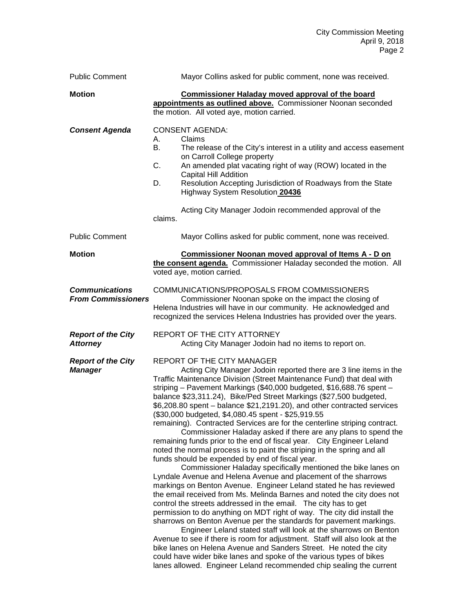| <b>Public Comment</b>                              | Mayor Collins asked for public comment, none was received.                                                                                                                                                                                                                                                                                                                                                                                                                                                                                                                                                                                                                                                                                                                                                                                                                                                                                                                                                                                                                                                                                                                                                                                                                                                                                                                                                                                                                                                                                                                                                                                                                               |
|----------------------------------------------------|------------------------------------------------------------------------------------------------------------------------------------------------------------------------------------------------------------------------------------------------------------------------------------------------------------------------------------------------------------------------------------------------------------------------------------------------------------------------------------------------------------------------------------------------------------------------------------------------------------------------------------------------------------------------------------------------------------------------------------------------------------------------------------------------------------------------------------------------------------------------------------------------------------------------------------------------------------------------------------------------------------------------------------------------------------------------------------------------------------------------------------------------------------------------------------------------------------------------------------------------------------------------------------------------------------------------------------------------------------------------------------------------------------------------------------------------------------------------------------------------------------------------------------------------------------------------------------------------------------------------------------------------------------------------------------------|
| <b>Motion</b>                                      | <b>Commissioner Haladay moved approval of the board</b><br>appointments as outlined above. Commissioner Noonan seconded<br>the motion. All voted aye, motion carried.                                                                                                                                                                                                                                                                                                                                                                                                                                                                                                                                                                                                                                                                                                                                                                                                                                                                                                                                                                                                                                                                                                                                                                                                                                                                                                                                                                                                                                                                                                                    |
| <b>Consent Agenda</b>                              | <b>CONSENT AGENDA:</b><br>Claims<br>А.<br>В.<br>The release of the City's interest in a utility and access easement<br>on Carroll College property<br>An amended plat vacating right of way (ROW) located in the<br>C.<br>Capital Hill Addition<br>Resolution Accepting Jurisdiction of Roadways from the State<br>D.<br>Highway System Resolution 20436<br>Acting City Manager Jodoin recommended approval of the<br>claims.                                                                                                                                                                                                                                                                                                                                                                                                                                                                                                                                                                                                                                                                                                                                                                                                                                                                                                                                                                                                                                                                                                                                                                                                                                                            |
| <b>Public Comment</b>                              | Mayor Collins asked for public comment, none was received.                                                                                                                                                                                                                                                                                                                                                                                                                                                                                                                                                                                                                                                                                                                                                                                                                                                                                                                                                                                                                                                                                                                                                                                                                                                                                                                                                                                                                                                                                                                                                                                                                               |
| <b>Motion</b>                                      | <b>Commissioner Noonan moved approval of Items A - D on</b><br>the consent agenda. Commissioner Haladay seconded the motion. All<br>voted aye, motion carried.                                                                                                                                                                                                                                                                                                                                                                                                                                                                                                                                                                                                                                                                                                                                                                                                                                                                                                                                                                                                                                                                                                                                                                                                                                                                                                                                                                                                                                                                                                                           |
| <b>Communications</b><br><b>From Commissioners</b> | COMMUNICATIONS/PROPOSALS FROM COMMISSIONERS<br>Commissioner Noonan spoke on the impact the closing of<br>Helena Industries will have in our community. He acknowledged and<br>recognized the services Helena Industries has provided over the years.                                                                                                                                                                                                                                                                                                                                                                                                                                                                                                                                                                                                                                                                                                                                                                                                                                                                                                                                                                                                                                                                                                                                                                                                                                                                                                                                                                                                                                     |
| <b>Report of the City</b><br><b>Attorney</b>       | REPORT OF THE CITY ATTORNEY<br>Acting City Manager Jodoin had no items to report on.                                                                                                                                                                                                                                                                                                                                                                                                                                                                                                                                                                                                                                                                                                                                                                                                                                                                                                                                                                                                                                                                                                                                                                                                                                                                                                                                                                                                                                                                                                                                                                                                     |
| <b>Report of the City</b><br><b>Manager</b>        | REPORT OF THE CITY MANAGER<br>Acting City Manager Jodoin reported there are 3 line items in the<br>Traffic Maintenance Division (Street Maintenance Fund) that deal with<br>striping - Pavement Markings (\$40,000 budgeted, \$16,688.76 spent -<br>balance \$23,311.24), Bike/Ped Street Markings (\$27,500 budgeted,<br>\$6,208.80 spent - balance \$21,2191.20), and other contracted services<br>(\$30,000 budgeted, \$4,080.45 spent - \$25,919.55<br>remaining). Contracted Services are for the centerline striping contract.<br>Commissioner Haladay asked if there are any plans to spend the<br>remaining funds prior to the end of fiscal year. City Engineer Leland<br>noted the normal process is to paint the striping in the spring and all<br>funds should be expended by end of fiscal year.<br>Commissioner Haladay specifically mentioned the bike lanes on<br>Lyndale Avenue and Helena Avenue and placement of the sharrows<br>markings on Benton Avenue. Engineer Leland stated he has reviewed<br>the email received from Ms. Melinda Barnes and noted the city does not<br>control the streets addressed in the email. The city has to get<br>permission to do anything on MDT right of way. The city did install the<br>sharrows on Benton Avenue per the standards for pavement markings.<br>Engineer Leland stated staff will look at the sharrows on Benton<br>Avenue to see if there is room for adjustment. Staff will also look at the<br>bike lanes on Helena Avenue and Sanders Street. He noted the city<br>could have wider bike lanes and spoke of the various types of bikes<br>lanes allowed. Engineer Leland recommended chip sealing the current |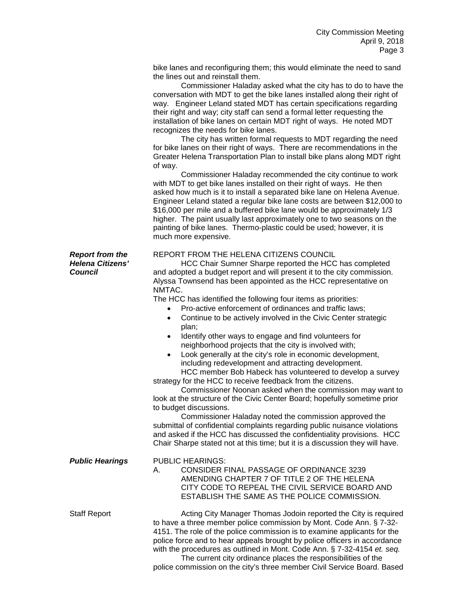bike lanes and reconfiguring them; this would eliminate the need to sand the lines out and reinstall them.

Commissioner Haladay asked what the city has to do to have the conversation with MDT to get the bike lanes installed along their right of way. Engineer Leland stated MDT has certain specifications regarding their right and way; city staff can send a formal letter requesting the installation of bike lanes on certain MDT right of ways. He noted MDT recognizes the needs for bike lanes.

The city has written formal requests to MDT regarding the need for bike lanes on their right of ways. There are recommendations in the Greater Helena Transportation Plan to install bike plans along MDT right of way.

Commissioner Haladay recommended the city continue to work with MDT to get bike lanes installed on their right of ways. He then asked how much is it to install a separated bike lane on Helena Avenue. Engineer Leland stated a regular bike lane costs are between \$12,000 to \$16,000 per mile and a buffered bike lane would be approximately 1/3 higher. The paint usually last approximately one to two seasons on the painting of bike lanes. Thermo-plastic could be used; however, it is much more expensive.

## **Report from the EXEL REPORT FROM THE HELENA CITIZENS COUNCIL**<br>**Helena Citizens'** HCC Chair Sumner Sharpe reported the HCC

**Helena Citizens'** HCC Chair Sumner Sharpe reported the HCC has completed<br> **Council** and adopted a budget report and will present it to the city commission and adopted a budget report and will present it to the city commission. Alyssa Townsend has been appointed as the HCC representative on NMTAC.

The HCC has identified the following four items as priorities:

- Pro-active enforcement of ordinances and traffic laws;
- Continue to be actively involved in the Civic Center strategic plan;
- Identify other ways to engage and find volunteers for neighborhood projects that the city is involved with;
- Look generally at the city's role in economic development, including redevelopment and attracting development.

HCC member Bob Habeck has volunteered to develop a survey strategy for the HCC to receive feedback from the citizens.

Commissioner Noonan asked when the commission may want to look at the structure of the Civic Center Board; hopefully sometime prior to budget discussions.

Commissioner Haladay noted the commission approved the submittal of confidential complaints regarding public nuisance violations and asked if the HCC has discussed the confidentiality provisions. HCC Chair Sharpe stated not at this time; but it is a discussion they will have.

| <b>Public Hearings</b> | <b>PUBLIC HEARINGS:</b><br>CONSIDER FINAL PASSAGE OF ORDINANCE 3239<br>А.<br>AMENDING CHAPTER 7 OF TITLE 2 OF THE HELENA<br>CITY CODE TO REPEAL THE CIVIL SERVICE BOARD AND<br>ESTABLISH THE SAME AS THE POLICE COMMISSION.                                                                                                                                                                                                                 |
|------------------------|---------------------------------------------------------------------------------------------------------------------------------------------------------------------------------------------------------------------------------------------------------------------------------------------------------------------------------------------------------------------------------------------------------------------------------------------|
| Staff Report           | Acting City Manager Thomas Jodoin reported the City is required<br>to have a three member police commission by Mont. Code Ann. § 7-32-<br>4151. The role of the police commission is to examine applicants for the<br>police force and to hear appeals brought by police officers in accordance<br>with the procedures as outlined in Mont. Code Ann. § 7-32-4154 et. seq.<br>The current city ordinance places the responsibilities of the |

police commission on the city's three member Civil Service Board. Based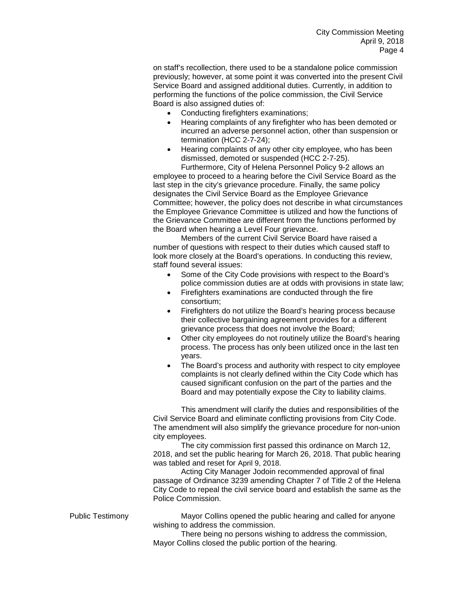on staff's recollection, there used to be a standalone police commission previously; however, at some point it was converted into the present Civil Service Board and assigned additional duties. Currently, in addition to performing the functions of the police commission, the Civil Service Board is also assigned duties of:

- Conducting firefighters examinations;
- Hearing complaints of any firefighter who has been demoted or incurred an adverse personnel action, other than suspension or termination (HCC 2-7-24);
- Hearing complaints of any other city employee, who has been dismissed, demoted or suspended (HCC 2-7-25).

Furthermore, City of Helena Personnel Policy 9-2 allows an employee to proceed to a hearing before the Civil Service Board as the last step in the city's grievance procedure. Finally, the same policy designates the Civil Service Board as the Employee Grievance Committee; however, the policy does not describe in what circumstances the Employee Grievance Committee is utilized and how the functions of the Grievance Committee are different from the functions performed by the Board when hearing a Level Four grievance.

Members of the current Civil Service Board have raised a number of questions with respect to their duties which caused staff to look more closely at the Board's operations. In conducting this review, staff found several issues:

- Some of the City Code provisions with respect to the Board's police commission duties are at odds with provisions in state law;
- Firefighters examinations are conducted through the fire consortium;
- Firefighters do not utilize the Board's hearing process because their collective bargaining agreement provides for a different grievance process that does not involve the Board;
- Other city employees do not routinely utilize the Board's hearing process. The process has only been utilized once in the last ten years.
- The Board's process and authority with respect to city employee complaints is not clearly defined within the City Code which has caused significant confusion on the part of the parties and the Board and may potentially expose the City to liability claims.

This amendment will clarify the duties and responsibilities of the Civil Service Board and eliminate conflicting provisions from City Code. The amendment will also simplify the grievance procedure for non-union city employees.

The city commission first passed this ordinance on March 12, 2018, and set the public hearing for March 26, 2018. That public hearing was tabled and reset for April 9, 2018.

Acting City Manager Jodoin recommended approval of final passage of Ordinance 3239 amending Chapter 7 of Title 2 of the Helena City Code to repeal the civil service board and establish the same as the Police Commission.

Public Testimony Mayor Collins opened the public hearing and called for anyone wishing to address the commission.

> There being no persons wishing to address the commission, Mayor Collins closed the public portion of the hearing.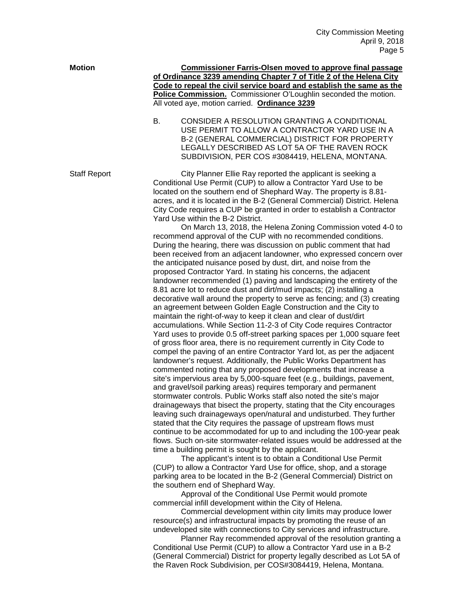| <b>Motion</b>       | <b>Commissioner Farris-Olsen moved to approve final passage</b><br>of Ordinance 3239 amending Chapter 7 of Title 2 of the Helena City<br>Code to repeal the civil service board and establish the same as the                                                                                                                                                                                                                                                                                                                                                                                                                                                                                                                                                                                                                                                                                                                                                                                                                                                                                                                                                                                                                                                                                                                                                                                                                                                                                                                                                                                                                                                                                                                                                                                                                                                                                                                                                                                                                                                                                                                                                                                                                                                                                                                                                                                                                                                                                                                                                                                                                                                                                                                                                                                                                                                                                                                                                                                                                                                                                                                                                                          |
|---------------------|----------------------------------------------------------------------------------------------------------------------------------------------------------------------------------------------------------------------------------------------------------------------------------------------------------------------------------------------------------------------------------------------------------------------------------------------------------------------------------------------------------------------------------------------------------------------------------------------------------------------------------------------------------------------------------------------------------------------------------------------------------------------------------------------------------------------------------------------------------------------------------------------------------------------------------------------------------------------------------------------------------------------------------------------------------------------------------------------------------------------------------------------------------------------------------------------------------------------------------------------------------------------------------------------------------------------------------------------------------------------------------------------------------------------------------------------------------------------------------------------------------------------------------------------------------------------------------------------------------------------------------------------------------------------------------------------------------------------------------------------------------------------------------------------------------------------------------------------------------------------------------------------------------------------------------------------------------------------------------------------------------------------------------------------------------------------------------------------------------------------------------------------------------------------------------------------------------------------------------------------------------------------------------------------------------------------------------------------------------------------------------------------------------------------------------------------------------------------------------------------------------------------------------------------------------------------------------------------------------------------------------------------------------------------------------------------------------------------------------------------------------------------------------------------------------------------------------------------------------------------------------------------------------------------------------------------------------------------------------------------------------------------------------------------------------------------------------------------------------------------------------------------------------------------------------------|
|                     |                                                                                                                                                                                                                                                                                                                                                                                                                                                                                                                                                                                                                                                                                                                                                                                                                                                                                                                                                                                                                                                                                                                                                                                                                                                                                                                                                                                                                                                                                                                                                                                                                                                                                                                                                                                                                                                                                                                                                                                                                                                                                                                                                                                                                                                                                                                                                                                                                                                                                                                                                                                                                                                                                                                                                                                                                                                                                                                                                                                                                                                                                                                                                                                        |
|                     | Police Commission. Commissioner O'Loughlin seconded the motion.<br>All voted aye, motion carried. Ordinance 3239                                                                                                                                                                                                                                                                                                                                                                                                                                                                                                                                                                                                                                                                                                                                                                                                                                                                                                                                                                                                                                                                                                                                                                                                                                                                                                                                                                                                                                                                                                                                                                                                                                                                                                                                                                                                                                                                                                                                                                                                                                                                                                                                                                                                                                                                                                                                                                                                                                                                                                                                                                                                                                                                                                                                                                                                                                                                                                                                                                                                                                                                       |
|                     | CONSIDER A RESOLUTION GRANTING A CONDITIONAL<br>В.<br>USE PERMIT TO ALLOW A CONTRACTOR YARD USE IN A<br>B-2 (GENERAL COMMERCIAL) DISTRICT FOR PROPERTY<br>LEGALLY DESCRIBED AS LOT 5A OF THE RAVEN ROCK<br>SUBDIVISION, PER COS #3084419, HELENA, MONTANA.                                                                                                                                                                                                                                                                                                                                                                                                                                                                                                                                                                                                                                                                                                                                                                                                                                                                                                                                                                                                                                                                                                                                                                                                                                                                                                                                                                                                                                                                                                                                                                                                                                                                                                                                                                                                                                                                                                                                                                                                                                                                                                                                                                                                                                                                                                                                                                                                                                                                                                                                                                                                                                                                                                                                                                                                                                                                                                                             |
| <b>Staff Report</b> | City Planner Ellie Ray reported the applicant is seeking a<br>Conditional Use Permit (CUP) to allow a Contractor Yard Use to be<br>located on the southern end of Shephard Way. The property is 8.81-<br>acres, and it is located in the B-2 (General Commercial) District. Helena<br>City Code requires a CUP be granted in order to establish a Contractor<br>Yard Use within the B-2 District.<br>On March 13, 2018, the Helena Zoning Commission voted 4-0 to<br>recommend approval of the CUP with no recommended conditions.<br>During the hearing, there was discussion on public comment that had<br>been received from an adjacent landowner, who expressed concern over<br>the anticipated nuisance posed by dust, dirt, and noise from the<br>proposed Contractor Yard. In stating his concerns, the adjacent<br>landowner recommended (1) paving and landscaping the entirety of the<br>8.81 acre lot to reduce dust and dirt/mud impacts; (2) installing a<br>decorative wall around the property to serve as fencing; and (3) creating<br>an agreement between Golden Eagle Construction and the City to<br>maintain the right-of-way to keep it clean and clear of dust/dirt<br>accumulations. While Section 11-2-3 of City Code requires Contractor<br>Yard uses to provide 0.5 off-street parking spaces per 1,000 square feet<br>of gross floor area, there is no requirement currently in City Code to<br>compel the paving of an entire Contractor Yard lot, as per the adjacent<br>landowner's request. Additionally, the Public Works Department has<br>commented noting that any proposed developments that increase a<br>site's impervious area by 5,000-square feet (e.g., buildings, pavement,<br>and gravel/soil parking areas) requires temporary and permanent<br>stormwater controls. Public Works staff also noted the site's major<br>drainageways that bisect the property, stating that the City encourages<br>leaving such drainageways open/natural and undisturbed. They further<br>stated that the City requires the passage of upstream flows must<br>continue to be accommodated for up to and including the 100-year peak<br>flows. Such on-site stormwater-related issues would be addressed at the<br>time a building permit is sought by the applicant.<br>The applicant's intent is to obtain a Conditional Use Permit<br>(CUP) to allow a Contractor Yard Use for office, shop, and a storage<br>parking area to be located in the B-2 (General Commercial) District on<br>the southern end of Shephard Way.<br>Approval of the Conditional Use Permit would promote<br>commercial infill development within the City of Helena.<br>Commercial development within city limits may produce lower<br>resource(s) and infrastructural impacts by promoting the reuse of an<br>undeveloped site with connections to City services and infrastructure.<br>Planner Ray recommended approval of the resolution granting a<br>Conditional Use Permit (CUP) to allow a Contractor Yard use in a B-2<br>(General Commercial) District for property legally described as Lot 5A of<br>the Raven Rock Subdivision, per COS#3084419, Helena, Montana. |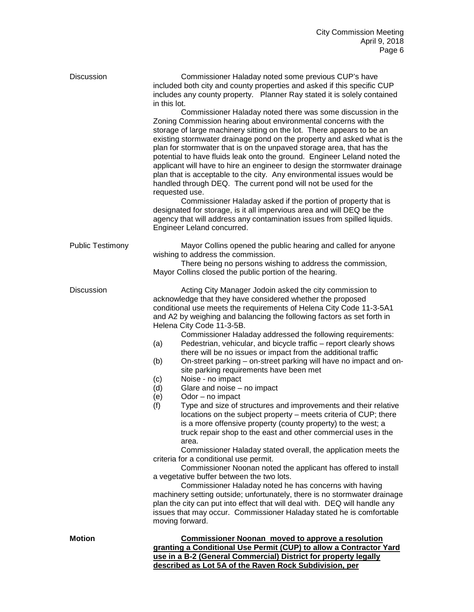| <b>Discussion</b>       | Commissioner Haladay noted some previous CUP's have<br>included both city and county properties and asked if this specific CUP<br>includes any county property. Planner Ray stated it is solely contained<br>in this lot.<br>Commissioner Haladay noted there was some discussion in the<br>Zoning Commission hearing about environmental concerns with the<br>storage of large machinery sitting on the lot. There appears to be an<br>existing stormwater drainage pond on the property and asked what is the<br>plan for stormwater that is on the unpaved storage area, that has the<br>potential to have fluids leak onto the ground. Engineer Leland noted the<br>applicant will have to hire an engineer to design the stormwater drainage<br>plan that is acceptable to the city. Any environmental issues would be<br>handled through DEQ. The current pond will not be used for the<br>requested use.<br>Commissioner Haladay asked if the portion of property that is<br>designated for storage, is it all impervious area and will DEQ be the<br>agency that will address any contamination issues from spilled liquids.<br>Engineer Leland concurred.                                                                                                                                                                                                                                                                                                                                                                                                      |
|-------------------------|-------------------------------------------------------------------------------------------------------------------------------------------------------------------------------------------------------------------------------------------------------------------------------------------------------------------------------------------------------------------------------------------------------------------------------------------------------------------------------------------------------------------------------------------------------------------------------------------------------------------------------------------------------------------------------------------------------------------------------------------------------------------------------------------------------------------------------------------------------------------------------------------------------------------------------------------------------------------------------------------------------------------------------------------------------------------------------------------------------------------------------------------------------------------------------------------------------------------------------------------------------------------------------------------------------------------------------------------------------------------------------------------------------------------------------------------------------------------------------------------------------------------------------------------------------------------------|
| <b>Public Testimony</b> | Mayor Collins opened the public hearing and called for anyone<br>wishing to address the commission.<br>There being no persons wishing to address the commission,<br>Mayor Collins closed the public portion of the hearing.                                                                                                                                                                                                                                                                                                                                                                                                                                                                                                                                                                                                                                                                                                                                                                                                                                                                                                                                                                                                                                                                                                                                                                                                                                                                                                                                             |
| <b>Discussion</b>       | Acting City Manager Jodoin asked the city commission to<br>acknowledge that they have considered whether the proposed<br>conditional use meets the requirements of Helena City Code 11-3-5A1<br>and A2 by weighing and balancing the following factors as set forth in<br>Helena City Code 11-3-5B.<br>Commissioner Haladay addressed the following requirements:<br>Pedestrian, vehicular, and bicycle traffic - report clearly shows<br>(a)<br>there will be no issues or impact from the additional traffic<br>On-street parking – on-street parking will have no impact and on-<br>(b)<br>site parking requirements have been met<br>Noise - no impact<br>(c)<br>Glare and noise - no impact<br>(d)<br>(e)<br>Odor - no impact<br>Type and size of structures and improvements and their relative<br>(f)<br>locations on the subject property - meets criteria of CUP; there<br>is a more offensive property (county property) to the west; a<br>truck repair shop to the east and other commercial uses in the<br>area.<br>Commissioner Haladay stated overall, the application meets the<br>criteria for a conditional use permit.<br>Commissioner Noonan noted the applicant has offered to install<br>a vegetative buffer between the two lots.<br>Commissioner Haladay noted he has concerns with having<br>machinery setting outside; unfortunately, there is no stormwater drainage<br>plan the city can put into effect that will deal with. DEQ will handle any<br>issues that may occur. Commissioner Haladay stated he is comfortable<br>moving forward. |
| <b>Motion</b>           | <b>Commissioner Noonan moved to approve a resolution</b><br>granting a Conditional Use Permit (CUP) to allow a Contractor Yard<br>use in a B-2 (General Commercial) District for property legally                                                                                                                                                                                                                                                                                                                                                                                                                                                                                                                                                                                                                                                                                                                                                                                                                                                                                                                                                                                                                                                                                                                                                                                                                                                                                                                                                                       |

**described as Lot 5A of the Raven Rock Subdivision, per**